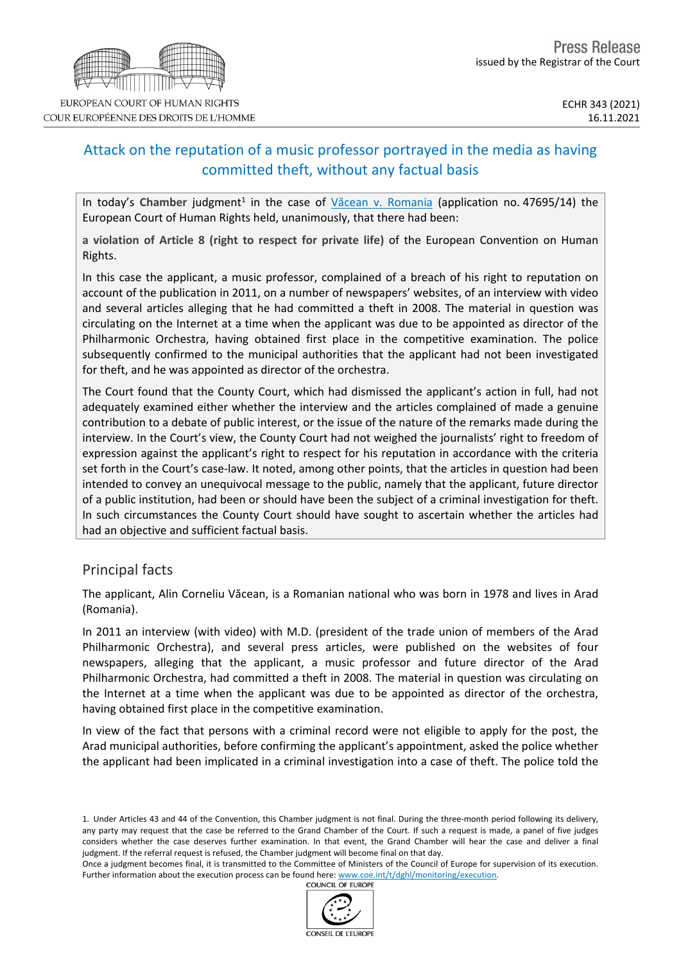# Attack on the reputation of a music professor portrayed in the media as having committed theft, without any factual basis

In today's Chamber judgment<sup>1</sup> in the case of Văcean v. [Romania](http://hudoc.echr.coe.int/eng?i=001-213188) (application no. 47695/14) the European Court of Human Rights held, unanimously, that there had been:

**a violation of Article 8 (right to respect for private life)** of the European Convention on Human Rights.

In this case the applicant, a music professor, complained of a breach of his right to reputation on account of the publication in 2011, on a number of newspapers' websites, of an interview with video and several articles alleging that he had committed a theft in 2008. The material in question was circulating on the Internet at a time when the applicant was due to be appointed as director of the Philharmonic Orchestra, having obtained first place in the competitive examination. The police subsequently confirmed to the municipal authorities that the applicant had not been investigated for theft, and he was appointed as director of the orchestra.

The Court found that the County Court, which had dismissed the applicant's action in full, had not adequately examined either whether the interview and the articles complained of made a genuine contribution to a debate of public interest, or the issue of the nature of the remarks made during the interview. In the Court's view, the County Court had not weighed the journalists' right to freedom of expression against the applicant's right to respect for his reputation in accordance with the criteria set forth in the Court's case-law. It noted, among other points, that the articles in question had been intended to convey an unequivocal message to the public, namely that the applicant, future director of a public institution, had been or should have been the subject of a criminal investigation for theft. In such circumstances the County Court should have sought to ascertain whether the articles had had an objective and sufficient factual basis.

### Principal facts

The applicant, Alin Corneliu Văcean, is a Romanian national who was born in 1978 and lives in Arad (Romania).

In 2011 an interview (with video) with M.D. (president of the trade union of members of the Arad Philharmonic Orchestra), and several press articles, were published on the websites of four newspapers, alleging that the applicant, a music professor and future director of the Arad Philharmonic Orchestra, had committed a theft in 2008. The material in question was circulating on the Internet at a time when the applicant was due to be appointed as director of the orchestra, having obtained first place in the competitive examination.

In view of the fact that persons with a criminal record were not eligible to apply for the post, the Arad municipal authorities, before confirming the applicant's appointment, asked the police whether the applicant had been implicated in a criminal investigation into a case of theft. The police told the

Once a judgment becomes final, it is transmitted to the Committee of Ministers of the Council of Europe for supervision of its execution. Further information about the execution process can be found here: [www.coe.int/t/dghl/monitoring/execution](http://www.coe.int/t/dghl/monitoring/execution). **COUNCIL OF EUROPE** 





<sup>1.</sup> Under Articles 43 and 44 of the Convention, this Chamber judgment is not final. During the three-month period following its delivery, any party may request that the case be referred to the Grand Chamber of the Court. If such a request is made, a panel of five judges considers whether the case deserves further examination. In that event, the Grand Chamber will hear the case and deliver a final judgment. If the referral request is refused, the Chamber judgment will become final on that day.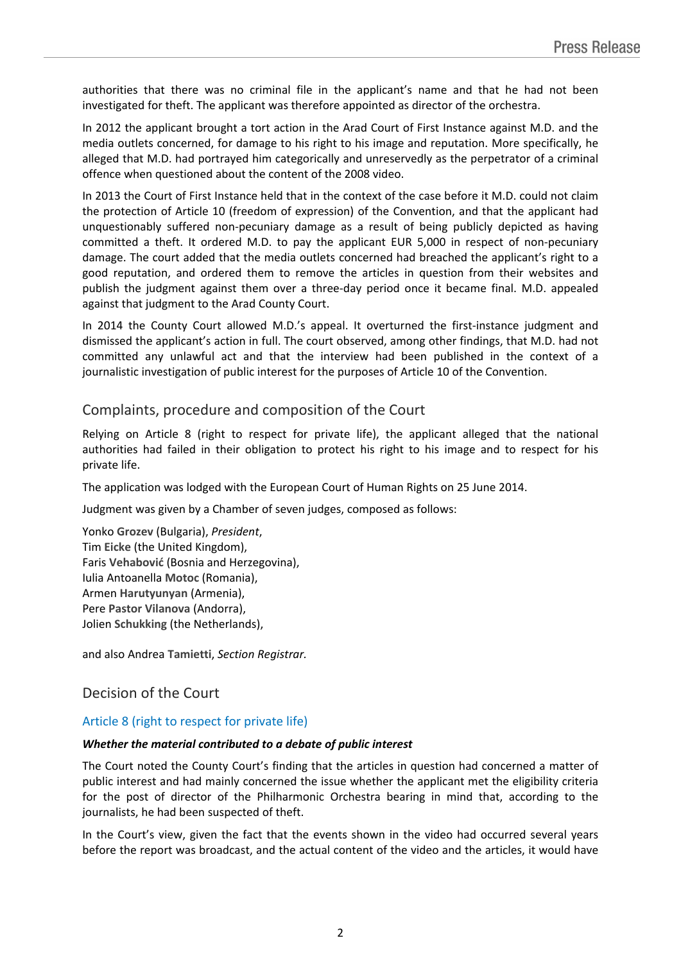authorities that there was no criminal file in the applicant's name and that he had not been investigated for theft. The applicant was therefore appointed as director of the orchestra.

In 2012 the applicant brought a tort action in the Arad Court of First Instance against M.D. and the media outlets concerned, for damage to his right to his image and reputation. More specifically, he alleged that M.D. had portrayed him categorically and unreservedly as the perpetrator of a criminal offence when questioned about the content of the 2008 video.

In 2013 the Court of First Instance held that in the context of the case before it M.D. could not claim the protection of Article 10 (freedom of expression) of the Convention, and that the applicant had unquestionably suffered non-pecuniary damage as a result of being publicly depicted as having committed a theft. It ordered M.D. to pay the applicant EUR 5,000 in respect of non-pecuniary damage. The court added that the media outlets concerned had breached the applicant's right to a good reputation, and ordered them to remove the articles in question from their websites and publish the judgment against them over a three-day period once it became final. M.D. appealed against that judgment to the Arad County Court.

In 2014 the County Court allowed M.D.'s appeal. It overturned the first-instance judgment and dismissed the applicant's action in full. The court observed, among other findings, that M.D. had not committed any unlawful act and that the interview had been published in the context of a journalistic investigation of public interest for the purposes of Article 10 of the Convention.

### Complaints, procedure and composition of the Court

Relying on Article 8 (right to respect for private life), the applicant alleged that the national authorities had failed in their obligation to protect his right to his image and to respect for his private life.

The application was lodged with the European Court of Human Rights on 25 June 2014.

Judgment was given by a Chamber of seven judges, composed as follows:

Yonko **Grozev** (Bulgaria), *President*, Tim **Eicke** (the United Kingdom), Faris **Vehabović** (Bosnia and Herzegovina), Iulia Antoanella **Motoc** (Romania), Armen **Harutyunyan** (Armenia), Pere **Pastor Vilanova** (Andorra), Jolien **Schukking** (the Netherlands),

and also Andrea **Tamietti**, *Section Registrar.*

## Decision of the Court

#### Article 8 (right to respect for private life)

#### *Whether the material contributed to a debate of public interest*

The Court noted the County Court's finding that the articles in question had concerned a matter of public interest and had mainly concerned the issue whether the applicant met the eligibility criteria for the post of director of the Philharmonic Orchestra bearing in mind that, according to the journalists, he had been suspected of theft.

In the Court's view, given the fact that the events shown in the video had occurred several years before the report was broadcast, and the actual content of the video and the articles, it would have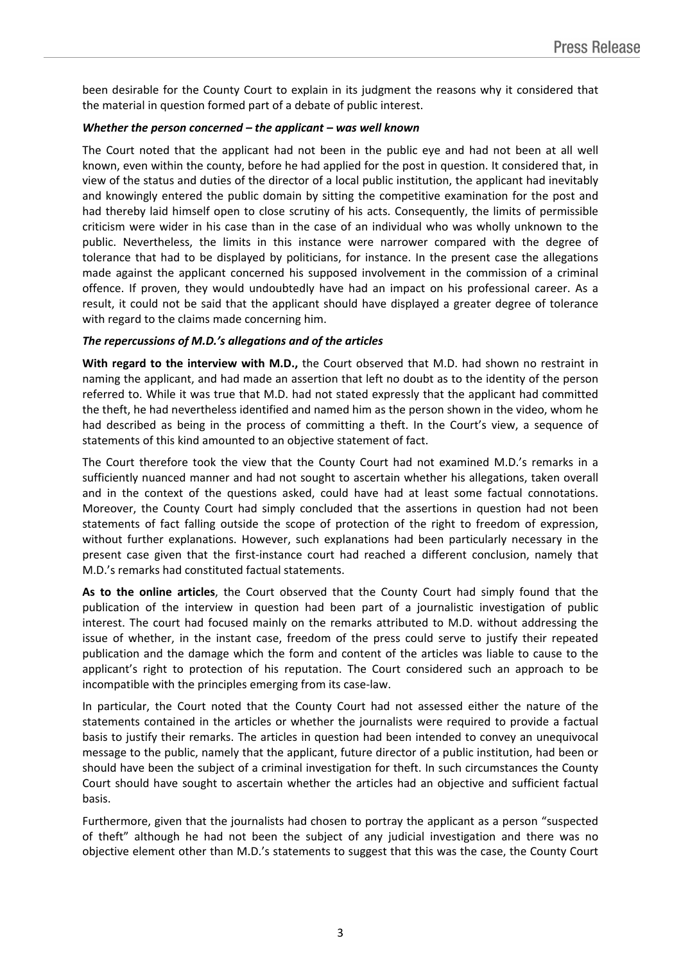been desirable for the County Court to explain in its judgment the reasons why it considered that the material in question formed part of a debate of public interest.

#### *Whether the person concerned – the applicant – was well known*

The Court noted that the applicant had not been in the public eye and had not been at all well known, even within the county, before he had applied for the post in question. It considered that, in view of the status and duties of the director of a local public institution, the applicant had inevitably and knowingly entered the public domain by sitting the competitive examination for the post and had thereby laid himself open to close scrutiny of his acts. Consequently, the limits of permissible criticism were wider in his case than in the case of an individual who was wholly unknown to the public. Nevertheless, the limits in this instance were narrower compared with the degree of tolerance that had to be displayed by politicians, for instance. In the present case the allegations made against the applicant concerned his supposed involvement in the commission of a criminal offence. If proven, they would undoubtedly have had an impact on his professional career. As a result, it could not be said that the applicant should have displayed a greater degree of tolerance with regard to the claims made concerning him.

#### *The repercussions of M.D.'s allegations and of the articles*

**With regard to the interview with M.D.,** the Court observed that M.D. had shown no restraint in naming the applicant, and had made an assertion that left no doubt as to the identity of the person referred to. While it was true that M.D. had not stated expressly that the applicant had committed the theft, he had nevertheless identified and named him as the person shown in the video, whom he had described as being in the process of committing a theft. In the Court's view, a sequence of statements of this kind amounted to an objective statement of fact.

The Court therefore took the view that the County Court had not examined M.D.'s remarks in a sufficiently nuanced manner and had not sought to ascertain whether his allegations, taken overall and in the context of the questions asked, could have had at least some factual connotations. Moreover, the County Court had simply concluded that the assertions in question had not been statements of fact falling outside the scope of protection of the right to freedom of expression, without further explanations. However, such explanations had been particularly necessary in the present case given that the first-instance court had reached a different conclusion, namely that M.D.'s remarks had constituted factual statements.

**As to the online articles**, the Court observed that the County Court had simply found that the publication of the interview in question had been part of a journalistic investigation of public interest. The court had focused mainly on the remarks attributed to M.D. without addressing the issue of whether, in the instant case, freedom of the press could serve to justify their repeated publication and the damage which the form and content of the articles was liable to cause to the applicant's right to protection of his reputation. The Court considered such an approach to be incompatible with the principles emerging from its case-law.

In particular, the Court noted that the County Court had not assessed either the nature of the statements contained in the articles or whether the journalists were required to provide a factual basis to justify their remarks. The articles in question had been intended to convey an unequivocal message to the public, namely that the applicant, future director of a public institution, had been or should have been the subject of a criminal investigation for theft. In such circumstances the County Court should have sought to ascertain whether the articles had an objective and sufficient factual basis.

Furthermore, given that the journalists had chosen to portray the applicant as a person "suspected of theft" although he had not been the subject of any judicial investigation and there was no objective element other than M.D.'s statements to suggest that this was the case, the County Court